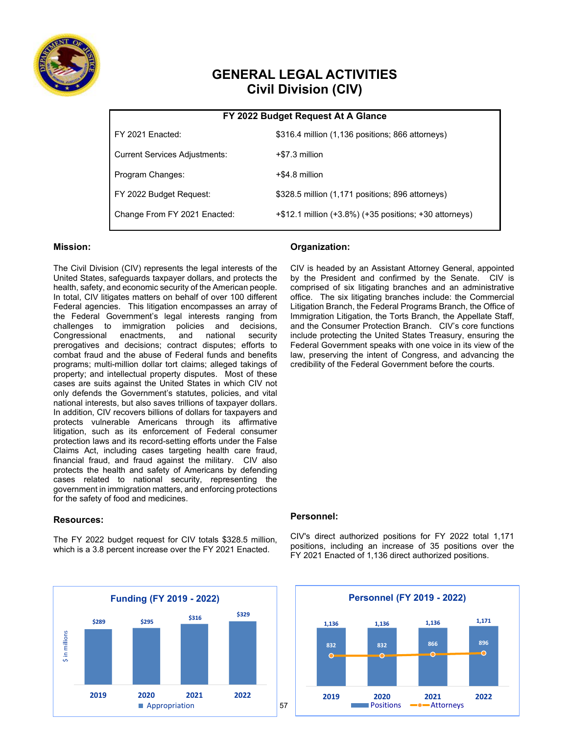

# **GENERAL LEGAL ACTIVITIES Civil Division (CIV)**

|                                      | FY 2022 Budget Request At A Giance                     |
|--------------------------------------|--------------------------------------------------------|
| FY 2021 Enacted:                     | \$316.4 million (1,136 positions; 866 attorneys)       |
| <b>Current Services Adjustments:</b> | +\$7.3 million                                         |
| Program Changes:                     | $+$ \$4.8 million                                      |
| FY 2022 Budget Request:              | \$328.5 million (1,171 positions; 896 attorneys)       |
| Change From FY 2021 Enacted:         | +\$12.1 million (+3.8%) (+35 positions; +30 attorneys) |

### **FY 2022 Budget Request At A Glance**

#### **Mission:**

The Civil Division (CIV) represents the legal interests of the United States, safeguards taxpayer dollars, and protects the health, safety, and economic security of the American people. In total, CIV litigates matters on behalf of over 100 different Federal agencies. This litigation encompasses an array of the Federal Government's legal interests ranging from challenges to immigration policies and decisions, Congressional prerogatives and decisions; contract disputes; efforts to combat fraud and the abuse of Federal funds and benefits programs; multi-million dollar tort claims; alleged takings of property; and intellectual property disputes. Most of these cases are suits against the United States in which CIV not only defends the Government's statutes, policies, and vital national interests, but also saves trillions of taxpayer dollars. In addition, CIV recovers billions of dollars for taxpayers and protects vulnerable Americans through its affirmative litigation, such as its enforcement of Federal consumer protection laws and its record-setting efforts under the False Claims Act, including cases targeting health care fraud, financial fraud, and fraud against the military. CIV also protects the health and safety of Americans by defending cases related to national security, representing the government in immigration matters, and enforcing protections for the safety of food and medicines.

#### **Resources:**

The FY 2022 budget request for CIV totals \$328.5 million, which is a 3.8 percent increase over the FY 2021 Enacted.



#### **Organization:**

CIV is headed by an Assistant Attorney General, appointed by the President and confirmed by the Senate. CIV is comprised of six litigating branches and an administrative office. The six litigating branches include: the Commercial Litigation Branch, the Federal Programs Branch, the Office of Immigration Litigation, the Torts Branch, the Appellate Staff, and the Consumer Protection Branch. CIV's core functions include protecting the United States Treasury, ensuring the Federal Government speaks with one voice in its view of the law, preserving the intent of Congress, and advancing the credibility of the Federal Government before the courts.

#### **Personnel:**

CIV's direct authorized positions for FY 2022 total 1,171 positions, including an increase of 35 positions over the FY 2021 Enacted of 1,136 direct authorized positions.

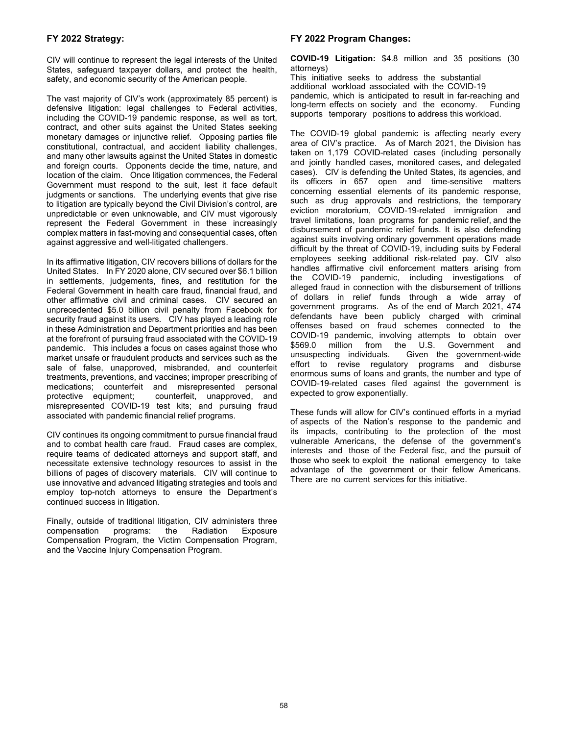#### **FY 2022 Strategy:**

CIV will continue to represent the legal interests of the United States, safeguard taxpayer dollars, and protect the health, safety, and economic security of the American people.

The vast majority of CIV's work (approximately 85 percent) is defensive litigation: legal challenges to Federal activities, including the COVID-19 pandemic response, as well as tort, contract, and other suits against the United States seeking monetary damages or injunctive relief. Opposing parties file constitutional, contractual, and accident liability challenges, and many other lawsuits against the United States in domestic and foreign courts. Opponents decide the time, nature, and location of the claim. Once litigation commences, the Federal Government must respond to the suit, lest it face default judgments or sanctions. The underlying events that give rise to litigation are typically beyond the Civil Division's control, are unpredictable or even unknowable, and CIV must vigorously represent the Federal Government in these increasingly complex matters in fast-moving and consequential cases, often against aggressive and well-litigated challengers.

In its affirmative litigation, CIV recovers billions of dollars for the United States. In FY 2020 alone, CIV secured over \$6.1 billion in settlements, judgements, fines, and restitution for the Federal Government in health care fraud, financial fraud, and other affirmative civil and criminal cases. CIV secured an unprecedented \$5.0 billion civil penalty from Facebook for security fraud against its users. CIV has played a leading role in these Administration and Department priorities and has been at the forefront of pursuing fraud associated with the COVID-19 pandemic. This includes a focus on cases against those who market unsafe or fraudulent products and services such as the sale of false, unapproved, misbranded, and counterfeit treatments, preventions, and vaccines; improper prescribing of medications; counterfeit and misrepresented personal protective equipment; counterfeit, unapproved, and misrepresented COVID-19 test kits; and pursuing fraud associated with pandemic financial relief programs.

CIV continues its ongoing commitment to pursue financial fraud and to combat health care fraud. Fraud cases are complex, require teams of dedicated attorneys and support staff, and necessitate extensive technology resources to assist in the billions of pages of discovery materials. CIV will continue to use innovative and advanced litigating strategies and tools and employ top-notch attorneys to ensure the Department's continued success in litigation.

Finally, outside of traditional litigation, CIV administers three compensation programs: the Radiation Exposure Compensation Program, the Victim Compensation Program, and the Vaccine Injury Compensation Program.

#### **FY 2022 Program Changes:**

**COVID-19 Litigation:** \$4.8 million and 35 positions (30 attorneys) This initiative seeks to address the substantial additional workload associated with the COVID-19 pandemic, which is anticipated to result in far-reaching and long-term effects on society and the economy. Funding

supports temporary positions to address this workload.

The COVID-19 global pandemic is affecting nearly every area of CIV's practice. As of March 2021, the Division has taken on 1,179 COVID-related cases (including personally and jointly handled cases, monitored cases, and delegated cases). CIV is defending the United States, its agencies, and its officers in 657 open and time-sensitive matters concerning essential elements of its pandemic response, such as drug approvals and restrictions, the temporary eviction moratorium, COVID-19-related immigration and travel limitations, loan programs for pandemic relief, and the disbursement of pandemic relief funds. It is also defending against suits involving ordinary government operations made difficult by the threat of COVID-19, including suits by Federal employees seeking additional risk-related pay. CIV also handles affirmative civil enforcement matters arising from the COVID-19 pandemic, including investigations of alleged fraud in connection with the disbursement of trillions of dollars in relief funds through a wide array of government programs. As of the end of March 2021, 474 defendants have been publicly charged with criminal offenses based on fraud schemes connected to the COVID-19 pandemic, involving attempts to obtain over \$569.0 million from the U.S. Government and<br>unsuspecting individuals. Given the government-wide Given the government-wide effort to revise regulatory programs and disburse enormous sums of loans and grants, the number and type of COVID-19-related cases filed against the government is expected to grow exponentially.

These funds will allow for CIV's continued efforts in a myriad of aspects of the Nation's response to the pandemic and its impacts, contributing to the protection of the most vulnerable Americans, the defense of the government's interests and those of the Federal fisc, and the pursuit of those who seek to exploit the national emergency to take advantage of the government or their fellow Americans. There are no current services for this initiative.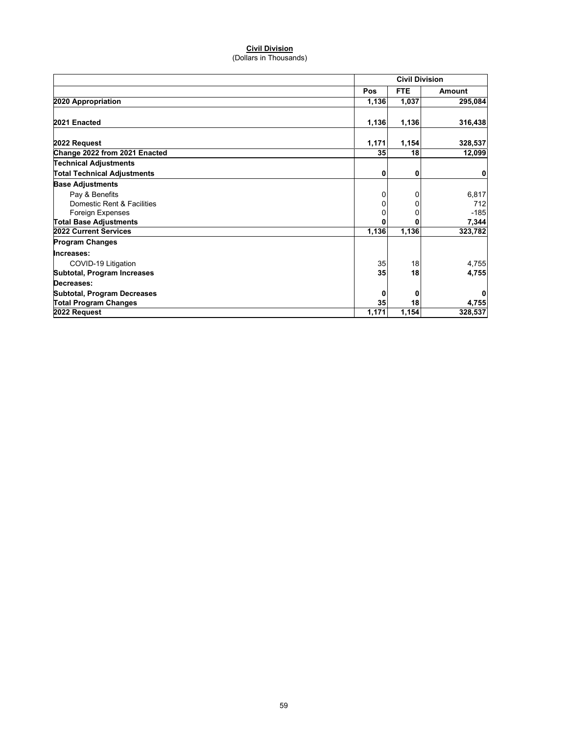## **Civil Division**

(Dollars in Thousands)

|                                    |       | <b>Civil Division</b> |         |  |
|------------------------------------|-------|-----------------------|---------|--|
|                                    | Pos   | FTE.                  | Amount  |  |
| 2020 Appropriation                 | 1,136 | 1,037                 | 295,084 |  |
| 2021 Enacted                       | 1,136 | 1,136                 | 316,438 |  |
| 2022 Request                       | 1,171 | 1,154                 | 328,537 |  |
| Change 2022 from 2021 Enacted      | 35    | 18                    | 12,099  |  |
| <b>Technical Adjustments</b>       |       |                       |         |  |
| <b>Total Technical Adjustments</b> | 0     | 0                     | 0       |  |
| <b>Base Adjustments</b>            |       |                       |         |  |
| Pay & Benefits                     | 0     | 0                     | 6,817   |  |
| Domestic Rent & Facilities         | 0     | 0                     | 712     |  |
| Foreign Expenses                   |       |                       | $-185$  |  |
| <b>Total Base Adjustments</b>      |       |                       | 7,344   |  |
| 2022 Current Services              | 1,136 | 1,136                 | 323,782 |  |
| <b>Program Changes</b>             |       |                       |         |  |
| Increases:                         |       |                       |         |  |
| COVID-19 Litigation                | 35    | 18                    | 4,755   |  |
| Subtotal, Program Increases        | 35    | 18                    | 4,755   |  |
| Decreases:                         |       |                       |         |  |
| <b>Subtotal, Program Decreases</b> | 0     | 0                     | 0       |  |
| <b>Total Program Changes</b>       | 35    | 18                    | 4,755   |  |
| 2022 Request                       | 1,171 | 1,154                 | 328,537 |  |